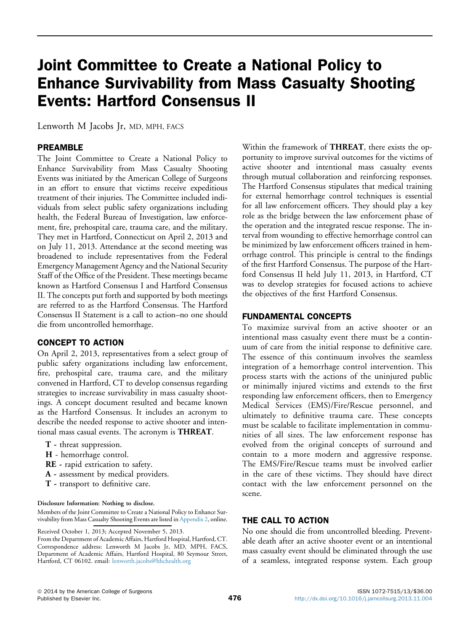# Joint Committee to Create a National Policy to Enhance Survivability from Mass Casualty Shooting Events: Hartford Consensus II

Lenworth M Jacobs Jr, MD, MPH, FACS

# PREAMBLE

The Joint Committee to Create a National Policy to Enhance Survivability from Mass Casualty Shooting Events was initiated by the American College of Surgeons in an effort to ensure that victims receive expeditious treatment of their injuries. The Committee included individuals from select public safety organizations including health, the Federal Bureau of Investigation, law enforcement, fire, prehospital care, trauma care, and the military. They met in Hartford, Connecticut on April 2, 2013 and on July 11, 2013. Attendance at the second meeting was broadened to include representatives from the Federal Emergency Management Agency and the National Security Staff of the Office of the President. These meetings became known as Hartford Consensus I and Hartford Consensus II. The concepts put forth and supported by both meetings are referred to as the Hartford Consensus. The Hartford Consensus II Statement is a call to action–no one should die from uncontrolled hemorrhage.

# CONCEPT TO ACTION

On April 2, 2013, representatives from a select group of public safety organizations including law enforcement, fire, prehospital care, trauma care, and the military convened in Hartford, CT to develop consensus regarding strategies to increase survivability in mass casualty shootings. A concept document resulted and became known as the Hartford Consensus. It includes an acronym to describe the needed response to active shooter and intentional mass casual events. The acronym is THREAT.

- T threat suppression.
- H hemorrhage control.
- RE rapid extrication to safety.
- A assessment by medical providers.
- T transport to definitive care.

#### Disclosure Information: Nothing to disclose.

Members of the Joint Committee to Create a National Policy to Enhance Survivability from Mass Casualty Shooting Events are listed in Appendix 2, online.

Received October 1, 2013; Accepted November 5, 2013.

Within the framework of THREAT, there exists the opportunity to improve survival outcomes for the victims of active shooter and intentional mass casualty events through mutual collaboration and reinforcing responses. The Hartford Consensus stipulates that medical training for external hemorrhage control techniques is essential for all law enforcement officers. They should play a key role as the bridge between the law enforcement phase of the operation and the integrated rescue response. The interval from wounding to effective hemorrhage control can be minimized by law enforcement officers trained in hemorrhage control. This principle is central to the findings of the first Hartford Consensus. The purpose of the Hartford Consensus II held July 11, 2013, in Hartford, CT was to develop strategies for focused actions to achieve the objectives of the first Hartford Consensus.

# FUNDAMENTAL CONCEPTS

To maximize survival from an active shooter or an intentional mass casualty event there must be a continuum of care from the initial response to definitive care. The essence of this continuum involves the seamless integration of a hemorrhage control intervention. This process starts with the actions of the uninjured public or minimally injured victims and extends to the first responding law enforcement officers, then to Emergency Medical Services (EMS)/Fire/Rescue personnel, and ultimately to definitive trauma care. These concepts must be scalable to facilitate implementation in communities of all sizes. The law enforcement response has evolved from the original concepts of surround and contain to a more modern and aggressive response. The EMS/Fire/Rescue teams must be involved earlier in the care of these victims. They should have direct contact with the law enforcement personnel on the scene.

# THE CALL TO ACTION

No one should die from uncontrolled bleeding. Preventable death after an active shooter event or an intentional mass casualty event should be eliminated through the use of a seamless, integrated response system. Each group

From the Department of Academic Affairs, Hartford Hospital, Hartford, CT. Correspondence address: Lenworth M Jacobs Jr, MD, MPH, FACS, Department of Academic Affairs, Hartford Hospital, 80 Seymour Street, Hartford, CT 06102. email: [lenworth.jacobs@hhchealth.org](mailto:lenworth.jacobs@hhchealth.org)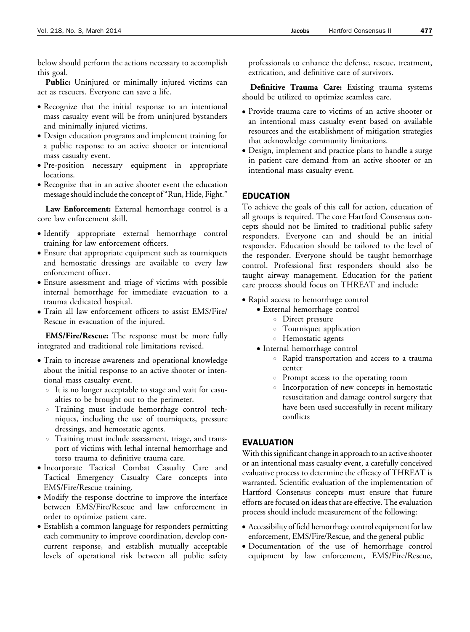below should perform the actions necessary to accomplish this goal.

Public: Uninjured or minimally injured victims can act as rescuers. Everyone can save a life.

- Recognize that the initial response to an intentional mass casualty event will be from uninjured bystanders and minimally injured victims.
- Design education programs and implement training for a public response to an active shooter or intentional mass casualty event.
- Pre-position necessary equipment in appropriate locations.
- Recognize that in an active shooter event the education message should include the concept of "Run, Hide, Fight."

Law Enforcement: External hemorrhage control is a core law enforcement skill.

- Identify appropriate external hemorrhage control training for law enforcement officers.
- Ensure that appropriate equipment such as tourniquets and hemostatic dressings are available to every law enforcement officer.
- Ensure assessment and triage of victims with possible internal hemorrhage for immediate evacuation to a trauma dedicated hospital.
- $\bullet$  Train all law enforcement officers to assist EMS/Fire/ Rescue in evacuation of the injured.

EMS/Fire/Rescue: The response must be more fully integrated and traditional role limitations revised.

- Train to increase awareness and operational knowledge about the initial response to an active shooter or intentional mass casualty event.
	- It is no longer acceptable to stage and wait for casualties to be brought out to the perimeter.
	- o Training must include hemorrhage control techniques, including the use of tourniquets, pressure dressings, and hemostatic agents.
	- o Training must include assessment, triage, and transport of victims with lethal internal hemorrhage and torso trauma to definitive trauma care.
- <sup>d</sup> Incorporate Tactical Combat Casualty Care and Tactical Emergency Casualty Care concepts into EMS/Fire/Rescue training.
- Modify the response doctrine to improve the interface between EMS/Fire/Rescue and law enforcement in order to optimize patient care.
- Establish a common language for responders permitting each community to improve coordination, develop concurrent response, and establish mutually acceptable levels of operational risk between all public safety

professionals to enhance the defense, rescue, treatment, extrication, and definitive care of survivors.

Definitive Trauma Care: Existing trauma systems should be utilized to optimize seamless care.

- Provide trauma care to victims of an active shooter or an intentional mass casualty event based on available resources and the establishment of mitigation strategies that acknowledge community limitations.
- Design, implement and practice plans to handle a surge in patient care demand from an active shooter or an intentional mass casualty event.

### EDUCATION

To achieve the goals of this call for action, education of all groups is required. The core Hartford Consensus concepts should not be limited to traditional public safety responders. Everyone can and should be an initial responder. Education should be tailored to the level of the responder. Everyone should be taught hemorrhage control. Professional first responders should also be taught airway management. Education for the patient care process should focus on THREAT and include:

- Rapid access to hemorrhage control
	- External hemorrhage control
		- o Direct pressure
		- **C** Tourniquet application
		- **B** Hemostatic agents
	- Internal hemorrhage control
		- $\circ$  Rapid transportation and access to a trauma center
		- **Prompt access to the operating room**
		- $\circ$  Incorporation of new concepts in hemostatic resuscitation and damage control surgery that have been used successfully in recent military conflicts

### EVALUATION

With this significant change in approach to an active shooter or an intentional mass casualty event, a carefully conceived evaluative process to determine the efficacy of THREAT is warranted. Scientific evaluation of the implementation of Hartford Consensus concepts must ensure that future efforts are focused on ideas that are effective. The evaluation process should include measurement of the following:

- Accessibility of field hemorrhage control equipment for law enforcement, EMS/Fire/Rescue, and the general public
- <sup>d</sup> Documentation of the use of hemorrhage control equipment by law enforcement, EMS/Fire/Rescue,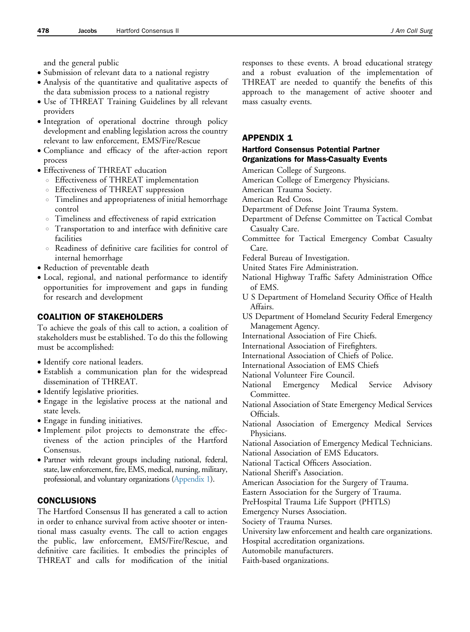and the general public

- Submission of relevant data to a national registry
- Analysis of the quantitative and qualitative aspects of the data submission process to a national registry
- Use of THREAT Training Guidelines by all relevant providers
- Integration of operational doctrine through policy development and enabling legislation across the country relevant to law enforcement, EMS/Fire/Rescue
- <sup>d</sup> Compliance and efficacy of the after-action report process
- Effectiveness of THREAT education
	- o Effectiveness of THREAT implementation
	- **Effectiveness of THREAT suppression**
	- $\circ$  Timelines and appropriateness of initial hemorrhage control
	- $\circ$  Timeliness and effectiveness of rapid extrication
	- $\circ$  Transportation to and interface with definitive care facilities
	- o Readiness of definitive care facilities for control of internal hemorrhage
- Reduction of preventable death
- · Local, regional, and national performance to identify opportunities for improvement and gaps in funding for research and development

# COALITION OF STAKEHOLDERS

To achieve the goals of this call to action, a coalition of stakeholders must be established. To do this the following must be accomplished:

- Identify core national leaders.
- Establish a communication plan for the widespread dissemination of THREAT.
- Identify legislative priorities.
- Engage in the legislative process at the national and state levels.
- Engage in funding initiatives.
- $\bullet$  Implement pilot projects to demonstrate the effectiveness of the action principles of the Hartford Consensus.
- Partner with relevant groups including national, federal, state, law enforcement, fire, EMS, medical, nursing, military, professional, and voluntary organizations (Appendix 1).

# CONCLUSIONS

The Hartford Consensus II has generated a call to action in order to enhance survival from active shooter or intentional mass casualty events. The call to action engages the public, law enforcement, EMS/Fire/Rescue, and definitive care facilities. It embodies the principles of THREAT and calls for modification of the initial

responses to these events. A broad educational strategy and a robust evaluation of the implementation of THREAT are needed to quantify the benefits of this approach to the management of active shooter and mass casualty events.

# APPENDIX 1

#### Hartford Consensus Potential Partner Organizations for Mass-Casualty Events

- American College of Surgeons.
- American College of Emergency Physicians.
- American Trauma Society.
- American Red Cross.
- Department of Defense Joint Trauma System.
- Department of Defense Committee on Tactical Combat Casualty Care.
- Committee for Tactical Emergency Combat Casualty Care.
- Federal Bureau of Investigation.
- United States Fire Administration.
- National Highway Traffic Safety Administration Office of EMS.
- U S Department of Homeland Security Office of Health Affairs.
- US Department of Homeland Security Federal Emergency Management Agency.
- International Association of Fire Chiefs.
- International Association of Firefighters.
- International Association of Chiefs of Police.
- International Association of EMS Chiefs
- National Volunteer Fire Council.
- National Emergency Medical Service Advisory Committee.
- National Association of State Emergency Medical Services Officials.
- National Association of Emergency Medical Services Physicians.
- National Association of Emergency Medical Technicians. National Association of EMS Educators.
- National Tactical Officers Association.
- National Sheriff's Association.
- American Association for the Surgery of Trauma.
- Eastern Association for the Surgery of Trauma.
- PreHospital Trauma Life Support (PHTLS)
- Emergency Nurses Association.
- Society of Trauma Nurses.
- University law enforcement and health care organizations.
- Hospital accreditation organizations.
- Automobile manufacturers.
- Faith-based organizations.